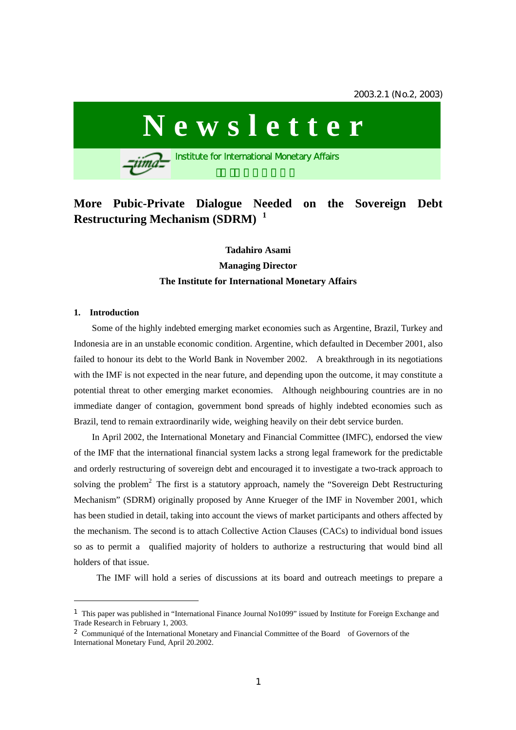# **Newsletter**

**Institute for International Monetary Affairs** 

# **More Pubic-Private Dialogue Needed on the Sovereign Debt Restructuring Mechanism (SDRM) <sup>1</sup>**

# **Tadahiro Asami Managing Director The Institute for International Monetary Affairs**

#### **1. Introduction**

 $\overline{a}$ 

Some of the highly indebted emerging market economies such as Argentine, Brazil, Turkey and Indonesia are in an unstable economic condition. Argentine, which defaulted in December 2001, also failed to honour its debt to the World Bank in November 2002. A breakthrough in its negotiations with the IMF is not expected in the near future, and depending upon the outcome, it may constitute a potential threat to other emerging market economies. Although neighbouring countries are in no immediate danger of contagion, government bond spreads of highly indebted economies such as Brazil, tend to remain extraordinarily wide, weighing heavily on their debt service burden.

In April 2002, the International Monetary and Financial Committee (IMFC), endorsed the view of the IMF that the international financial system lacks a strong legal framework for the predictable and orderly restructuring of sovereign debt and encouraged it to investigate a two-track approach to solving the problem<sup>2</sup> The first is a statutory approach, namely the "Sovereign Debt Restructuring Mechanism" (SDRM) originally proposed by Anne Krueger of the IMF in November 2001, which has been studied in detail, taking into account the views of market participants and others affected by the mechanism. The second is to attach Collective Action Clauses (CACs) to individual bond issues so as to permit a qualified majority of holders to authorize a restructuring that would bind all holders of that issue.

The IMF will hold a series of discussions at its board and outreach meetings to prepare a

<sup>1</sup> This paper was published in "International Finance Journal No1099" issued by Institute for Foreign Exchange and Trade Research in February 1, 2003.

<sup>2</sup> Communiqué of the International Monetary and Financial Committee of the Board of Governors of the International Monetary Fund, April 20.2002.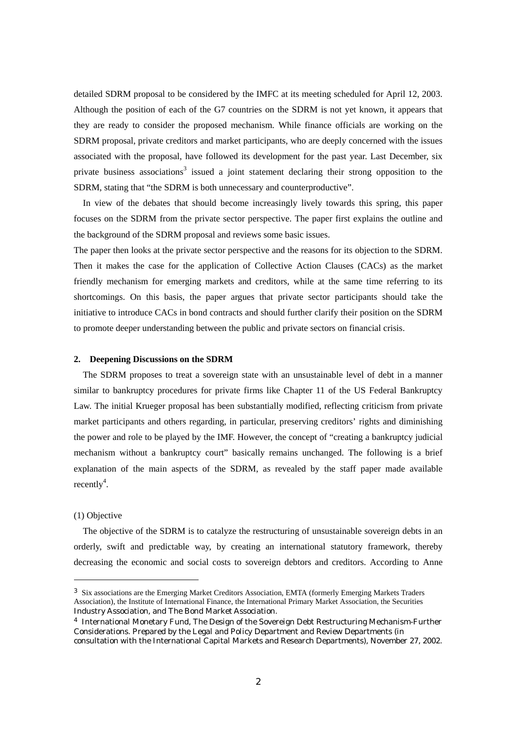detailed SDRM proposal to be considered by the IMFC at its meeting scheduled for April 12, 2003. Although the position of each of the G7 countries on the SDRM is not yet known, it appears that they are ready to consider the proposed mechanism. While finance officials are working on the SDRM proposal, private creditors and market participants, who are deeply concerned with the issues associated with the proposal, have followed its development for the past year. Last December, six private business associations<sup>3</sup> issued a joint statement declaring their strong opposition to the SDRM, stating that "the SDRM is both unnecessary and counterproductive".

 In view of the debates that should become increasingly lively towards this spring, this paper focuses on the SDRM from the private sector perspective. The paper first explains the outline and the background of the SDRM proposal and reviews some basic issues.

The paper then looks at the private sector perspective and the reasons for its objection to the SDRM. Then it makes the case for the application of Collective Action Clauses (CACs) as the market friendly mechanism for emerging markets and creditors, while at the same time referring to its shortcomings. On this basis, the paper argues that private sector participants should take the initiative to introduce CACs in bond contracts and should further clarify their position on the SDRM to promote deeper understanding between the public and private sectors on financial crisis.

#### **2. Deepening Discussions on the SDRM**

 The SDRM proposes to treat a sovereign state with an unsustainable level of debt in a manner similar to bankruptcy procedures for private firms like Chapter 11 of the US Federal Bankruptcy Law. The initial Krueger proposal has been substantially modified, reflecting criticism from private market participants and others regarding, in particular, preserving creditors' rights and diminishing the power and role to be played by the IMF. However, the concept of "creating a bankruptcy judicial mechanism without a bankruptcy court" basically remains unchanged. The following is a brief explanation of the main aspects of the SDRM, as revealed by the staff paper made available recently<sup>4</sup>.

## (1) Objective

 $\overline{a}$ 

 The objective of the SDRM is to catalyze the restructuring of unsustainable sovereign debts in an orderly, swift and predictable way, by creating an international statutory framework, thereby decreasing the economic and social costs to sovereign debtors and creditors. According to Anne

<sup>3</sup> Six associations are the Emerging Market Creditors Association, EMTA (formerly Emerging Markets Traders Association), the Institute of International Finance, the International Primary Market Association, the Securities Industry Association, and The Bond Market Association.

<sup>4</sup> International Monetary Fund, The Design of the Sovereign Debt Restructuring Mechanism-Further Considerations. Prepared by the Legal and Policy Department and Review Departments (in consultation with the International Capital Markets and Research Departments), November 27, 2002.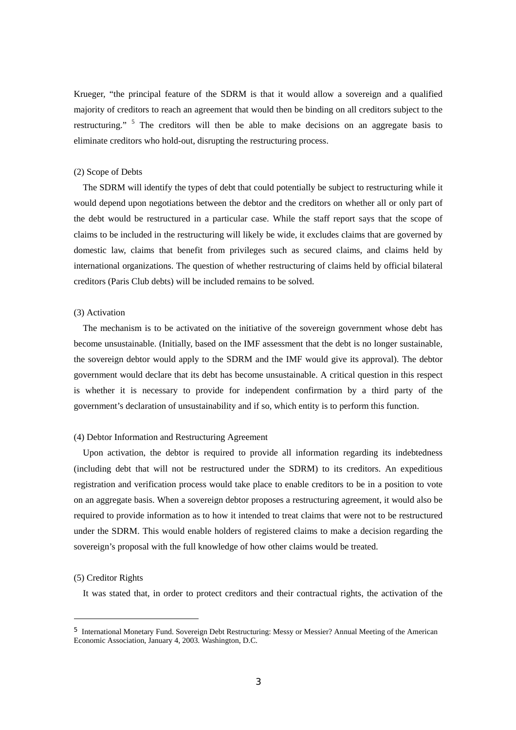Krueger, "the principal feature of the SDRM is that it would allow a sovereign and a qualified majority of creditors to reach an agreement that would then be binding on all creditors subject to the restructuring." <sup>5</sup> The creditors will then be able to make decisions on an aggregate basis to eliminate creditors who hold-out, disrupting the restructuring process.

#### (2) Scope of Debts

The SDRM will identify the types of debt that could potentially be subject to restructuring while it would depend upon negotiations between the debtor and the creditors on whether all or only part of the debt would be restructured in a particular case. While the staff report says that the scope of claims to be included in the restructuring will likely be wide, it excludes claims that are governed by domestic law, claims that benefit from privileges such as secured claims, and claims held by international organizations. The question of whether restructuring of claims held by official bilateral creditors (Paris Club debts) will be included remains to be solved.

# (3) Activation

 The mechanism is to be activated on the initiative of the sovereign government whose debt has become unsustainable. (Initially, based on the IMF assessment that the debt is no longer sustainable, the sovereign debtor would apply to the SDRM and the IMF would give its approval). The debtor government would declare that its debt has become unsustainable. A critical question in this respect is whether it is necessary to provide for independent confirmation by a third party of the government's declaration of unsustainability and if so, which entity is to perform this function.

#### (4) Debtor Information and Restructuring Agreement

 Upon activation, the debtor is required to provide all information regarding its indebtedness (including debt that will not be restructured under the SDRM) to its creditors. An expeditious registration and verification process would take place to enable creditors to be in a position to vote on an aggregate basis. When a sovereign debtor proposes a restructuring agreement, it would also be required to provide information as to how it intended to treat claims that were not to be restructured under the SDRM. This would enable holders of registered claims to make a decision regarding the sovereign's proposal with the full knowledge of how other claims would be treated.

#### (5) Creditor Rights

 $\overline{a}$ 

It was stated that, in order to protect creditors and their contractual rights, the activation of the

<sup>5</sup> International Monetary Fund. Sovereign Debt Restructuring: Messy or Messier? Annual Meeting of the American Economic Association, January 4, 2003. Washington, D.C.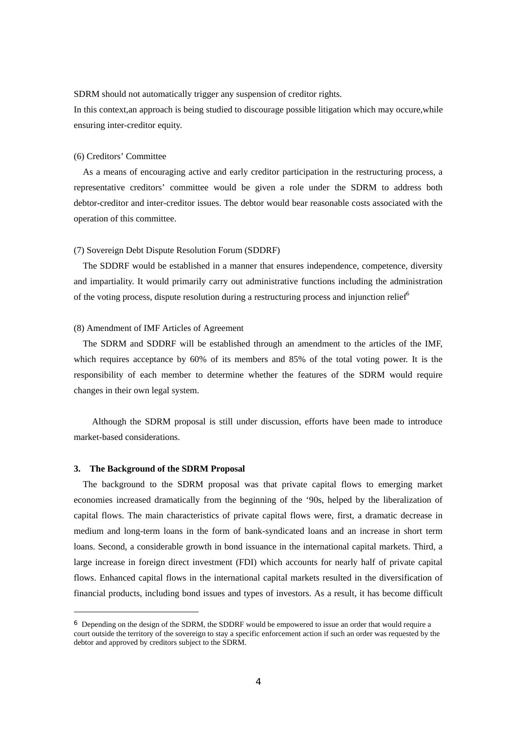SDRM should not automatically trigger any suspension of creditor rights.

In this context,an approach is being studied to discourage possible litigation which may occure,while ensuring inter-creditor equity.

## (6) Creditors' Committee

 As a means of encouraging active and early creditor participation in the restructuring process, a representative creditors' committee would be given a role under the SDRM to address both debtor-creditor and inter-creditor issues. The debtor would bear reasonable costs associated with the operation of this committee.

#### (7) Sovereign Debt Dispute Resolution Forum (SDDRF)

The SDDRF would be established in a manner that ensures independence, competence, diversity and impartiality. It would primarily carry out administrative functions including the administration of the voting process, dispute resolution during a restructuring process and injunction relief $<sup>6</sup>$ </sup>

### (8) Amendment of IMF Articles of Agreement

The SDRM and SDDRF will be established through an amendment to the articles of the IMF, which requires acceptance by 60% of its members and 85% of the total voting power. It is the responsibility of each member to determine whether the features of the SDRM would require changes in their own legal system.

 Although the SDRM proposal is still under discussion, efforts have been made to introduce market-based considerations.

#### **3. The Background of the SDRM Proposal**

 $\overline{a}$ 

 The background to the SDRM proposal was that private capital flows to emerging market economies increased dramatically from the beginning of the '90s, helped by the liberalization of capital flows. The main characteristics of private capital flows were, first, a dramatic decrease in medium and long-term loans in the form of bank-syndicated loans and an increase in short term loans. Second, a considerable growth in bond issuance in the international capital markets. Third, a large increase in foreign direct investment (FDI) which accounts for nearly half of private capital flows. Enhanced capital flows in the international capital markets resulted in the diversification of financial products, including bond issues and types of investors. As a result, it has become difficult

<sup>6</sup> Depending on the design of the SDRM, the SDDRF would be empowered to issue an order that would require a court outside the territory of the sovereign to stay a specific enforcement action if such an order was requested by the debtor and approved by creditors subject to the SDRM.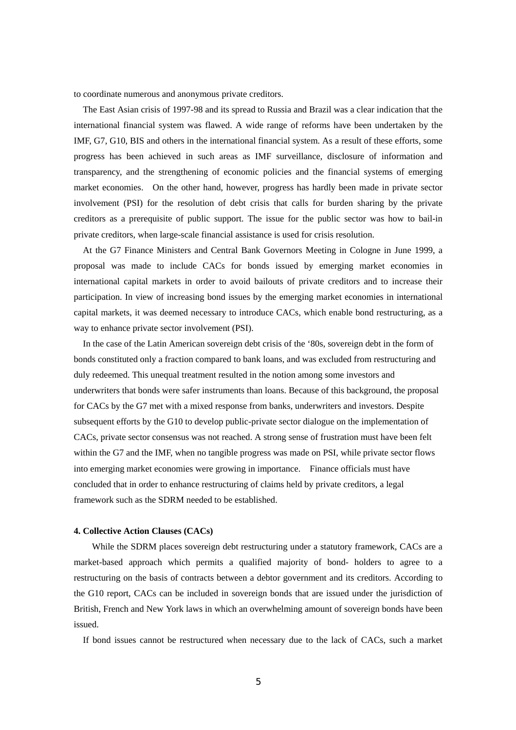to coordinate numerous and anonymous private creditors.

 The East Asian crisis of 1997-98 and its spread to Russia and Brazil was a clear indication that the international financial system was flawed. A wide range of reforms have been undertaken by the IMF, G7, G10, BIS and others in the international financial system. As a result of these efforts, some progress has been achieved in such areas as IMF surveillance, disclosure of information and transparency, and the strengthening of economic policies and the financial systems of emerging market economies. On the other hand, however, progress has hardly been made in private sector involvement (PSI) for the resolution of debt crisis that calls for burden sharing by the private creditors as a prerequisite of public support. The issue for the public sector was how to bail-in private creditors, when large-scale financial assistance is used for crisis resolution.

 At the G7 Finance Ministers and Central Bank Governors Meeting in Cologne in June 1999, a proposal was made to include CACs for bonds issued by emerging market economies in international capital markets in order to avoid bailouts of private creditors and to increase their participation. In view of increasing bond issues by the emerging market economies in international capital markets, it was deemed necessary to introduce CACs, which enable bond restructuring, as a way to enhance private sector involvement (PSI).

 In the case of the Latin American sovereign debt crisis of the '80s, sovereign debt in the form of bonds constituted only a fraction compared to bank loans, and was excluded from restructuring and duly redeemed. This unequal treatment resulted in the notion among some investors and underwriters that bonds were safer instruments than loans. Because of this background, the proposal for CACs by the G7 met with a mixed response from banks, underwriters and investors. Despite subsequent efforts by the G10 to develop public-private sector dialogue on the implementation of CACs, private sector consensus was not reached. A strong sense of frustration must have been felt within the G7 and the IMF, when no tangible progress was made on PSI, while private sector flows into emerging market economies were growing in importance. Finance officials must have concluded that in order to enhance restructuring of claims held by private creditors, a legal framework such as the SDRM needed to be established.

#### **4. Collective Action Clauses (CACs)**

 While the SDRM places sovereign debt restructuring under a statutory framework, CACs are a market-based approach which permits a qualified majority of bond- holders to agree to a restructuring on the basis of contracts between a debtor government and its creditors. According to the G10 report, CACs can be included in sovereign bonds that are issued under the jurisdiction of British, French and New York laws in which an overwhelming amount of sovereign bonds have been issued.

If bond issues cannot be restructured when necessary due to the lack of CACs, such a market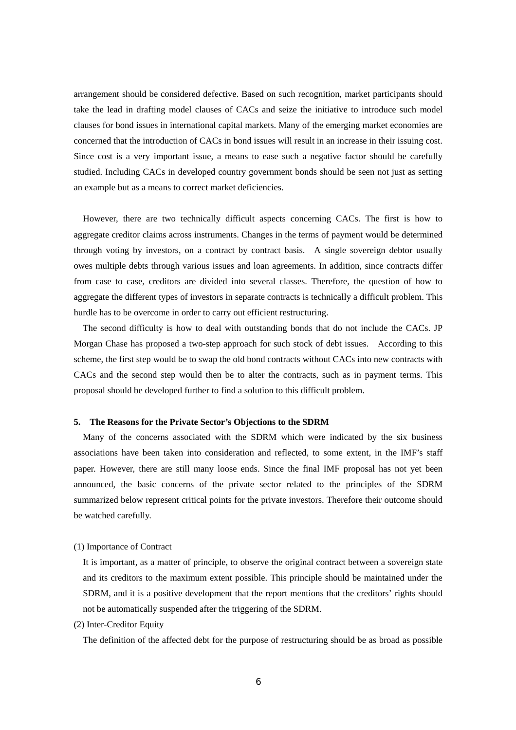arrangement should be considered defective. Based on such recognition, market participants should take the lead in drafting model clauses of CACs and seize the initiative to introduce such model clauses for bond issues in international capital markets. Many of the emerging market economies are concerned that the introduction of CACs in bond issues will result in an increase in their issuing cost. Since cost is a very important issue, a means to ease such a negative factor should be carefully studied. Including CACs in developed country government bonds should be seen not just as setting an example but as a means to correct market deficiencies.

 However, there are two technically difficult aspects concerning CACs. The first is how to aggregate creditor claims across instruments. Changes in the terms of payment would be determined through voting by investors, on a contract by contract basis. A single sovereign debtor usually owes multiple debts through various issues and loan agreements. In addition, since contracts differ from case to case, creditors are divided into several classes. Therefore, the question of how to aggregate the different types of investors in separate contracts is technically a difficult problem. This hurdle has to be overcome in order to carry out efficient restructuring.

 The second difficulty is how to deal with outstanding bonds that do not include the CACs. JP Morgan Chase has proposed a two-step approach for such stock of debt issues. According to this scheme, the first step would be to swap the old bond contracts without CACs into new contracts with CACs and the second step would then be to alter the contracts, such as in payment terms. This proposal should be developed further to find a solution to this difficult problem.

# **5. The Reasons for the Private Sector's Objections to the SDRM**

 Many of the concerns associated with the SDRM which were indicated by the six business associations have been taken into consideration and reflected, to some extent, in the IMF's staff paper. However, there are still many loose ends. Since the final IMF proposal has not yet been announced, the basic concerns of the private sector related to the principles of the SDRM summarized below represent critical points for the private investors. Therefore their outcome should be watched carefully.

#### (1) Importance of Contract

It is important, as a matter of principle, to observe the original contract between a sovereign state and its creditors to the maximum extent possible. This principle should be maintained under the SDRM, and it is a positive development that the report mentions that the creditors' rights should not be automatically suspended after the triggering of the SDRM.

(2) Inter-Creditor Equity

The definition of the affected debt for the purpose of restructuring should be as broad as possible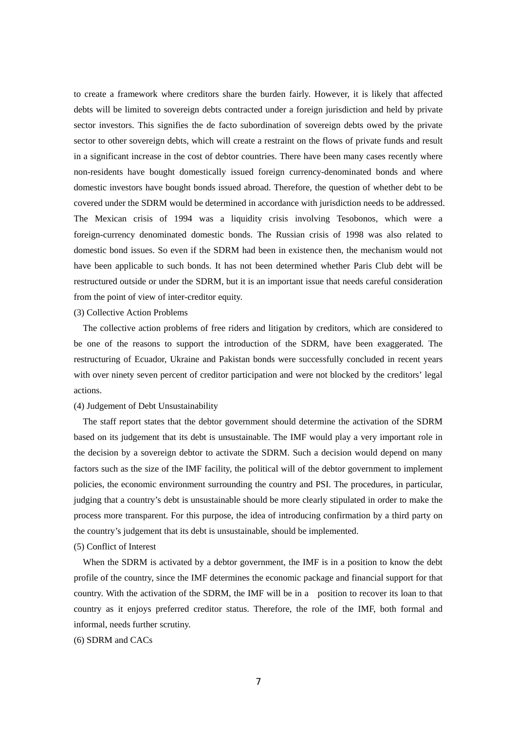to create a framework where creditors share the burden fairly. However, it is likely that affected debts will be limited to sovereign debts contracted under a foreign jurisdiction and held by private sector investors. This signifies the de facto subordination of sovereign debts owed by the private sector to other sovereign debts, which will create a restraint on the flows of private funds and result in a significant increase in the cost of debtor countries. There have been many cases recently where non-residents have bought domestically issued foreign currency-denominated bonds and where domestic investors have bought bonds issued abroad. Therefore, the question of whether debt to be covered under the SDRM would be determined in accordance with jurisdiction needs to be addressed. The Mexican crisis of 1994 was a liquidity crisis involving Tesobonos, which were a foreign-currency denominated domestic bonds. The Russian crisis of 1998 was also related to domestic bond issues. So even if the SDRM had been in existence then, the mechanism would not have been applicable to such bonds. It has not been determined whether Paris Club debt will be restructured outside or under the SDRM, but it is an important issue that needs careful consideration from the point of view of inter-creditor equity.

## (3) Collective Action Problems

 The collective action problems of free riders and litigation by creditors, which are considered to be one of the reasons to support the introduction of the SDRM, have been exaggerated. The restructuring of Ecuador, Ukraine and Pakistan bonds were successfully concluded in recent years with over ninety seven percent of creditor participation and were not blocked by the creditors' legal actions.

#### (4) Judgement of Debt Unsustainability

 The staff report states that the debtor government should determine the activation of the SDRM based on its judgement that its debt is unsustainable. The IMF would play a very important role in the decision by a sovereign debtor to activate the SDRM. Such a decision would depend on many factors such as the size of the IMF facility, the political will of the debtor government to implement policies, the economic environment surrounding the country and PSI. The procedures, in particular, judging that a country's debt is unsustainable should be more clearly stipulated in order to make the process more transparent. For this purpose, the idea of introducing confirmation by a third party on the country's judgement that its debt is unsustainable, should be implemented.

# (5) Conflict of Interest

 When the SDRM is activated by a debtor government, the IMF is in a position to know the debt profile of the country, since the IMF determines the economic package and financial support for that country. With the activation of the SDRM, the IMF will be in a position to recover its loan to that country as it enjoys preferred creditor status. Therefore, the role of the IMF, both formal and informal, needs further scrutiny.

# (6) SDRM and CACs